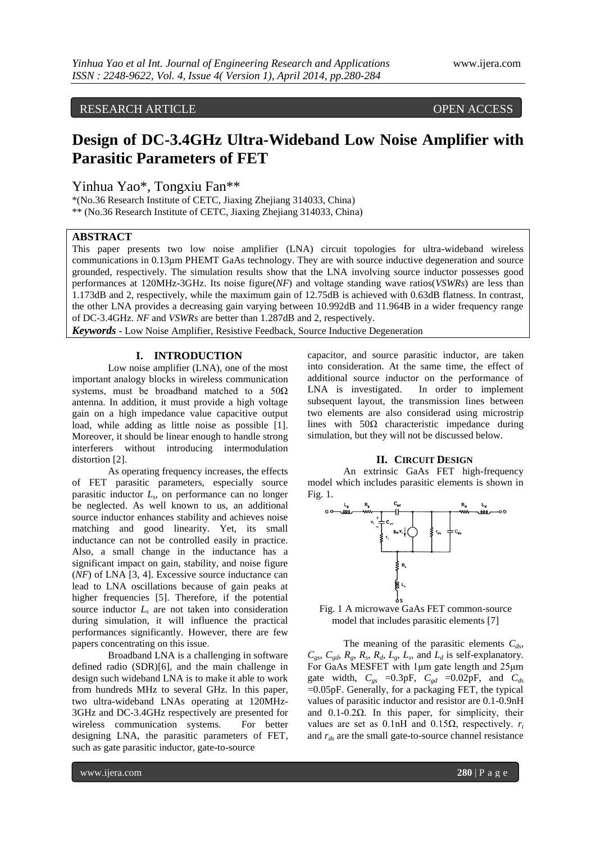RESEARCH ARTICLE OPEN ACCESS

# **Design of DC-3.4GHz Ultra-Wideband Low Noise Amplifier with Parasitic Parameters of FET**

Yinhua Yao\*, Tongxiu Fan\*\*

\*(No.36 Research Institute of CETC, Jiaxing Zhejiang 314033, China) \*\* (No.36 Research Institute of CETC, Jiaxing Zhejiang 314033, China)

## **ABSTRACT**

This paper presents two low noise amplifier (LNA) circuit topologies for ultra-wideband wireless communications in 0.13μm PHEMT GaAs technology. They are with source inductive degeneration and source grounded, respectively. The simulation results show that the LNA involving source inductor possesses good performances at 120MHz-3GHz. Its noise figure(*NF*) and voltage standing wave ratios(*VSWRs*) are less than 1.173dB and 2, respectively, while the maximum gain of 12.75dB is achieved with 0.63dB flatness. In contrast, the other LNA provides a decreasing gain varying between 10.992dB and 11.964B in a wider frequency range of DC-3.4GHz. *NF* and *VSWRs* are better than 1.287dB and 2, respectively.

*Keywords* **-** Low Noise Amplifier, Resistive Feedback, Source Inductive Degeneration

### **I. INTRODUCTION**

Low noise amplifier (LNA), one of the most important analogy blocks in wireless communication systems, must be broadband matched to a  $50\Omega$ antenna. In addition, it must provide a high voltage gain on a high impedance value capacitive output load, while adding as little noise as possible [1]. Moreover, it should be linear enough to handle strong interferers without introducing intermodulation distortion [2].

As operating frequency increases, the effects of FET parasitic parameters, especially source parasitic inductor *L<sup>s</sup>* , on performance can no longer be neglected. As well known to us, an additional source inductor enhances stability and achieves noise matching and good linearity. Yet, its small inductance can not be controlled easily in practice. Also, a small change in the inductance has a significant impact on gain, stability, and noise figure (*NF*) of LNA [3, 4]. Excessive source inductance can lead to LNA oscillations because of gain peaks at higher frequencies [5]. Therefore, if the potential source inductor *L<sup>s</sup>* are not taken into consideration during simulation, it will influence the practical performances significantly. However, there are few papers concentrating on this issue.

Broadband LNA is a challenging in software defined radio (SDR)[6], and the main challenge in design such wideband LNA is to make it able to work from hundreds MHz to several GHz. In this paper, two ultra-wideband LNAs operating at 120MHz-3GHz and DC-3.4GHz respectively are presented for wireless communication systems. For better designing LNA, the parasitic parameters of FET, such as gate parasitic inductor, gate-to-source

capacitor, and source parasitic inductor, are taken into consideration. At the same time, the effect of additional source inductor on the performance of LNA is investigated. In order to implement subsequent layout, the transmission lines between two elements are also considerad using microstrip lines with  $50\Omega$  characteristic impedance during simulation, but they will not be discussed below.

#### **II. CIRCUIT DESIGN**

An extrinsic GaAs FET high-frequency model which includes parasitic elements is shown in Fig. 1.



Fig. 1 A microwave GaAs FET common-source model that includes parasitic elements [7]

The meaning of the parasitic elements *Cds*,  $C_{gs}$ ,  $C_{gd}$ ,  $R_g$ ,  $R_s$ ,  $R_d$ ,  $L_g$ ,  $L_s$ , and  $L_d$  is self-explanatory. For GaAs MESFET with 1μm gate length and 25μm gate width,  $C_{gs}$  =0.3pF,  $C_{gd}$  =0.02pF, and  $C_{ds}$  $=0.05pF$ . Generally, for a packaging FET, the typical values of parasitic inductor and resistor are 0.1-0.9nH and  $0.1 - 0.2\Omega$ . In this paper, for simplicity, their values are set as 0.1nH and 0.15Ω, respectively.  $r_i$ and *rds* are the small gate-to-source channel resistance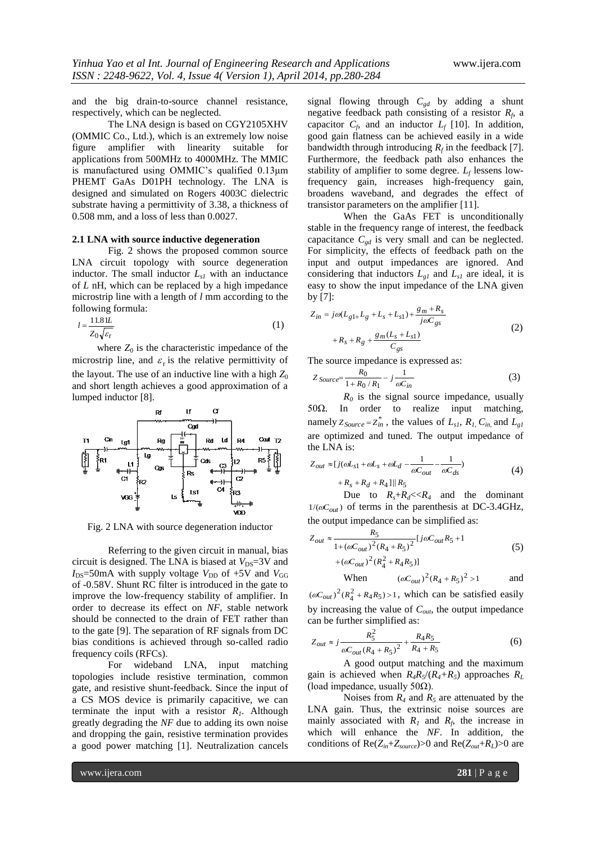and the big drain-to-source channel resistance, respectively, which can be neglected.

The LNA design is based on CGY2105XHV (OMMIC Co., Ltd.), which is an extremely low noise figure amplifier with linearity suitable for applications from 500MHz to 4000MHz. The MMIC is manufactured using OMMIC's qualified 0.13μm PHEMT GaAs D01PH technology. The LNA is designed and simulated on Rogers 4003C dielectric substrate having a permittivity of 3.38, a thickness of 0.508 mm, and a loss of less than 0.0027.

#### **2.1 LNA with source inductive degeneration**

Fig. 2 shows the proposed common source LNA circuit topology with source degeneration inductor. The small inductor  $L_{s1}$  with an inductance of *L* nH, which can be replaced by a high impedance microstrip line with a length of *l* mm according to the following formula:

$$
l = \frac{11.81L}{Z_0\sqrt{\varepsilon_r}}\tag{1}
$$

where  $Z_0$  is the characteristic impedance of the microstrip line, and  $\varepsilon_r$  is the relative permittivity of the layout. The use of an inductive line with a high  $Z_0$ and short length achieves a good approximation of a lumped inductor [8].



Fig. 2 LNA with source degeneration inductor

Referring to the given circuit in manual, bias circuit is designed. The LNA is biased at  $V_{DS}$ =3V and  $I_{DS}$ =50mA with supply voltage  $V_{DD}$  of +5V and  $V_{GG}$ of -0.58V. Shunt RC filter is introduced in the gate to improve the low-frequency stability of amplifier. In order to decrease its effect on *NF*, stable network should be connected to the drain of FET rather than to the gate [9]. The separation of RF signals from DC bias conditions is achieved through so-called radio frequency coils (RFCs).

For wideband LNA, input matching topologies include resistive termination, common gate, and resistive shunt-feedback. Since the input of a CS MOS device is primarily capacitive, we can terminate the input with a resistor  $R<sub>1</sub>$ . Although greatly degrading the *NF* due to adding its own noise and dropping the gain, resistive termination provides a good power matching [1]. Neutralization cancels

signal flowing through *Cgd* by adding a shunt negative feedback path consisting of a resistor *R<sup>f</sup>* , a capacitor  $C_f$ , and an inductor  $L_f$  [10]. In addition, good gain flatness can be achieved easily in a wide bandwidth through introducing  $R_f$  in the feedback [7]. Furthermore, the feedback path also enhances the stability of amplifier to some degree. *L<sup>f</sup>* lessens lowfrequency gain, increases high-frequency gain, broadens waveband, and degrades the effect of transistor parameters on the amplifier [11].

When the GaAs FET is unconditionally stable in the frequency range of interest, the feedback capacitance  $C_{gd}$  is very small and can be neglected. For simplicity, the effects of feedback path on the input and output impedances are ignored. And considering that inductors  $L_{gl}$  and  $L_{sl}$  are ideal, it is easy to show the input impedance of the LNA given by [7]:

$$
Z_{in} = j\omega(L_{g1+}L_g + L_s + L_{s1}) + \frac{g_m + R_s}{j\omega C_{gs}}
$$
  
+  $R_s + R_g + \frac{g_m(L_s + L_{s1})}{C_{gs}}$  (2)

The source impedance is expressed as:

$$
Z_{Source} = \frac{R_0}{1 + R_0 / R_1} - j \frac{1}{\omega C_{in}} \tag{3}
$$

*R<sup>0</sup>* is the signal source impedance, usually 50Ω. In order to realize input matching, namely  $Z_{Source} = Z_{in}^{*}$ , the values of  $L_{s1}$ ,  $R_{I}$ ,  $C_{in}$ , and  $L_{g1}$ are optimized and tuned. The output impedance of the LNA is:

$$
Z_{out} \approx [j(\omega L_{s1} + \omega L_{s} + \omega L_{d} - \frac{1}{\omega C_{out}} - \frac{1}{\omega C_{ds}}) + R_{s} + R_{d} + R_{4}]||R_{5}
$$
\n
$$
(4)
$$

Due to  $R_s + R_d \le R_4$  and the dominant  $1/(\omega C_{out})$  of terms in the parenthesis at DC-3.4GHz, the output impedance can be simplified as:

$$
Z_{out} \approx \frac{R_5}{1 + (\omega C_{out})^2 (R_4 + R_5)^2} [j\omega C_{out} R_5 + 1
$$
  
+ (\omega C\_{out})^2 (R\_4^2 + R\_4 R\_5)] (5)

When 
$$
(\omega C_{out})^2 (R_4 + R_5)^2 > 1
$$
 and

 $(\omega C_{out})^2 (R_4^2 + R_4 R_5) > 1$ , which can be satisfied easily by increasing the value of *Cout*, the output impedance can be further simplified as:

$$
Z_{out} \approx j \frac{R_S^2}{\omega C_{out} (R_4 + R_5)^2} + \frac{R_4 R_5}{R_4 + R_5}
$$
(6)

A good output matching and the maximum gain is achieved when  $R_4R_5/(R_4+R_5)$  approaches  $R_L$ (load impedance, usually  $50\Omega$ ).

Noises from  $R_4$  and  $R_5$  are attenuated by the LNA gain. Thus, the extrinsic noise sources are mainly associated with  $R_I$  and  $R_f$ , the increase in which will enhance the *NF*. In addition, the conditions of  $\text{Re}(Z_{in}+Z_{source})>0$  and  $\text{Re}(Z_{out}+R_L)>0$  are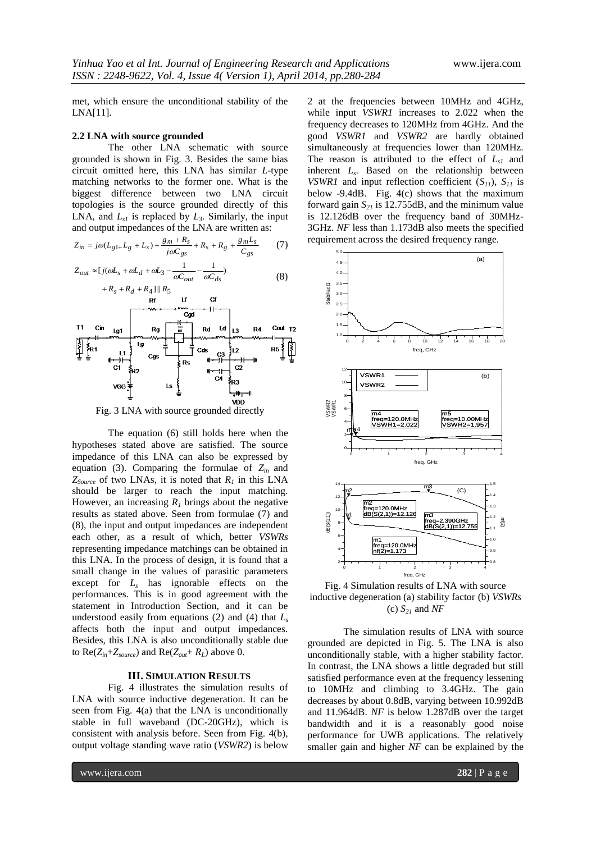met, which ensure the unconditional stability of the LNA[11].

#### **2.2 LNA with source grounded**

The other LNA schematic with source grounded is shown in Fig. 3. Besides the same bias circuit omitted here, this LNA has similar *L*-type matching networks to the former one. What is the biggest difference between two LNA circuit topologies is the source grounded directly of this LNA, and  $L_{s1}$  is replaced by  $L_3$ . Similarly, the input and output impedances of the LNA are written as:

$$
Z_{in} = j\omega(L_{g1+}L_g + L_s) + \frac{g_m + R_s}{j\omega C_{gs}} + R_s + R_g + \frac{g_m L_s}{C_{gs}} \tag{7}
$$

$$
Z_{out} \approx [j(\omega L_s + \omega L_d + \omega L_3 - \frac{1}{\omega C_{out}} - \frac{1}{\omega C_{ds}})
$$
(8)



Fig. 3 LNA with source grounded directly

The equation (6) still holds here when the hypotheses stated above are satisfied. The source impedance of this LNA can also be expressed by equation (3). Comparing the formulae of  $Z_{in}$  and  $Z_{Source}$  of two LNAs, it is noted that  $R_I$  in this LNA should be larger to reach the input matching. However, an increasing  $R_1$  brings about the negative results as stated above. Seen from formulae (7) and (8), the input and output impedances are independent each other, as a result of which, better *VSWRs* representing impedance matchings can be obtained in this LNA. In the process of design, it is found that a small change in the values of parasitic parameters except for *L<sup>s</sup>* has ignorable effects on the performances. This is in good agreement with the statement in Introduction Section, and it can be understood easily from equations (2) and (4) that  $L<sub>s</sub>$ affects both the input and output impedances. Besides, this LNA is also unconditionally stable due to  $\text{Re}(Z_{in} + Z_{source})$  and  $\text{Re}(Z_{out} + R_L)$  above 0.

#### **III. SIMULATION RESULTS**

Fig. 4 illustrates the simulation results of LNA with source inductive degeneration. It can be seen from Fig. 4(a) that the LNA is unconditionally stable in full waveband (DC-20GHz), which is consistent with analysis before. Seen from Fig. 4(b), output voltage standing wave ratio (*VSWR2*) is below

2 at the frequencies between 10MHz and 4GHz, while input *VSWR1* increases to 2.022 when the frequency decreases to 120MHz from 4GHz. And the good *VSWR1* and *VSWR2* are hardly obtained simultaneously at frequencies lower than 120MHz. The reason is attributed to the effect of *Ls1* and inherent *L<sup>s</sup>* . Based on the relationship between *VSWR1* and input reflection coefficient  $(S_{11})$ ,  $S_{11}$  is below -9.4dB. Fig. 4(c) shows that the maximum forward gain  $S_{21}$  is 12.755dB, and the minimum value is 12.126dB over the frequency band of 30MHz-3GHz. *NF* less than 1.173dB also meets the specified requirement across the desired frequency range.



Fig. 4 Simulation results of LNA with source inductive degeneration (a) stability factor (b) *VSWRs* (c) *S<sup>21</sup>* and *NF*

The simulation results of LNA with source grounded are depicted in Fig. 5. The LNA is also unconditionally stable, with a higher stability factor. In contrast, the LNA shows a little degraded but still satisfied performance even at the frequency lessening to 10MHz and climbing to 3.4GHz. The gain decreases by about 0.8dB, varying between 10.992dB and 11.964dB. *NF* is below 1.287dB over the target bandwidth and it is a reasonably good noise performance for UWB applications. The relatively smaller gain and higher *NF* can be explained by the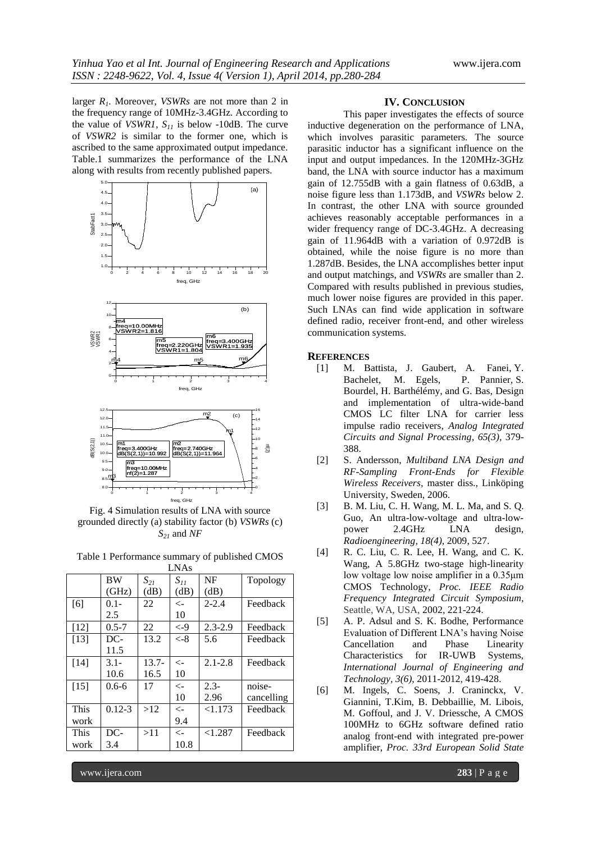larger *R1*. Moreover, *VSWRs* are not more than 2 in the frequency range of 10MHz-3.4GHz. According to the value of *VSWR1*, *S<sup>11</sup>* is below -10dB. The curve of *VSWR2* is similar to the former one, which is ascribed to the same approximated output impedance. Table.1 summarizes the performance of the LNA along with results from recently published papers.



Fig. 4 Simulation results of LNA with source grounded directly (a) stability factor (b) *VSWRs* (c) *S<sup>21</sup>* and *NF*

| Table 1 Performance summary of published CMOS |  |
|-----------------------------------------------|--|
|-----------------------------------------------|--|

| <b>LNAs</b> |            |          |               |             |            |  |
|-------------|------------|----------|---------------|-------------|------------|--|
|             | <b>BW</b>  | $S_{21}$ | $S_{11}$      | NF          | Topology   |  |
|             | (GHz)      | (dB)     | (dB)          | (dB)        |            |  |
| [6]         | $0.1 -$    | 22       | $\leftarrow$  | $2 - 2.4$   | Feedback   |  |
|             | 2.5        |          | 10            |             |            |  |
| $[12]$      | $0.5 - 7$  | 22       | $\epsilon$ -9 | $2.3 - 2.9$ | Feedback   |  |
| $[13]$      | DC-        | 13.2     | $\epsilon$ -8 | 5.6         | Feedback   |  |
|             | 11.5       |          |               |             |            |  |
| [14]        | $3.1 -$    | $13.7 -$ | $\lt$ -       | $2.1 - 2.8$ | Feedback   |  |
|             | 10.6       | 16.5     | 10            |             |            |  |
| $[15]$      | $0.6 - 6$  | 17       | $\lt$ -       | $2.3 -$     | noise-     |  |
|             |            |          | 10            | 2.96        | cancelling |  |
| This        | $0.12 - 3$ | >12      | $\leftarrow$  | < 1.173     | Feedback   |  |
| work        |            |          | 9.4           |             |            |  |
| This        | DC-        | >11      | $\leftarrow$  | < 1.287     | Feedback   |  |
| work        | 3.4        |          | 10.8          |             |            |  |

#### **IV. CONCLUSION**

This paper investigates the effects of source inductive degeneration on the performance of LNA, which involves parasitic parameters. The source parasitic inductor has a significant influence on the input and output impedances. In the 120MHz-3GHz band, the LNA with source inductor has a maximum gain of 12.755dB with a gain flatness of 0.63dB, a noise figure less than 1.173dB, and *VSWRs* below 2. In contrast, the other LNA with source grounded achieves reasonably acceptable performances in a wider frequency range of DC-3.4GHz. A decreasing gain of 11.964dB with a variation of 0.972dB is obtained, while the noise figure is no more than 1.287dB. Besides, the LNA accomplishes better input and output matchings, and *VSWRs* are smaller than 2. Compared with results published in previous studies, much lower noise figures are provided in this paper. Such LNAs can find wide application in software defined radio, receiver front-end, and other wireless communication systems.

#### **REFERENCES**

- [1] M. Battista, J. Gaubert, A. Fanei, Y. Bachelet, M. Egels, Bourdel, H. Barthélémy, and G. Bas, Design and implementation of ultra-wide-band CMOS LC filter LNA for carrier less impulse radio receivers, *Analog Integrated Circuits and Signal Processing, 65(3)*, 379- 388.
- [2] S. Andersson, *Multiband LNA Design and RF-Sampling Front-Ends for Flexible Wireless Receivers*, master diss., Linköping University, Sweden, 2006.
- [3] B. M. Liu, C. H. Wang, M. L. Ma, and S. Q. Guo, An ultra-low-voltage and ultra-lowpower 2.4GHz LNA design, *Radioengineering, 18(4)*, 2009, 527.
- [4] R. C. Liu, C. R. Lee, H. Wang, and C. K. Wang, A 5.8GHz two-stage high-linearity low voltage low noise amplifier in a 0.35μm CMOS Technology, *Proc. IEEE Radio Frequency Integrated Circuit Symposium*, Seattle, WA, USA, 2002, 221-224.
- [5] A. P. Adsul and S. K. Bodhe, Performance Evaluation of Different LNA's having Noise Cancellation and Phase Linearity Characteristics for IR-UWB Systems, *International Journal of Engineering and Technology, 3(6)*, 2011-2012, 419-428.
- [6] M. Ingels, C. Soens, J. Craninckx, V. Giannini, T.Kim, B. Debbaillie, M. Libois, M. Goffoul, and J. V. Driessche, A CMOS 100MHz to 6GHz software defined ratio analog front-end with integrated pre-power amplifier, *Proc. 33rd European [Solid State](http://ieeexplore.ieee.org/xpl/mostRecentIssue.jsp?punumber=4430236)*

www.ijera.com **283** | P a g e